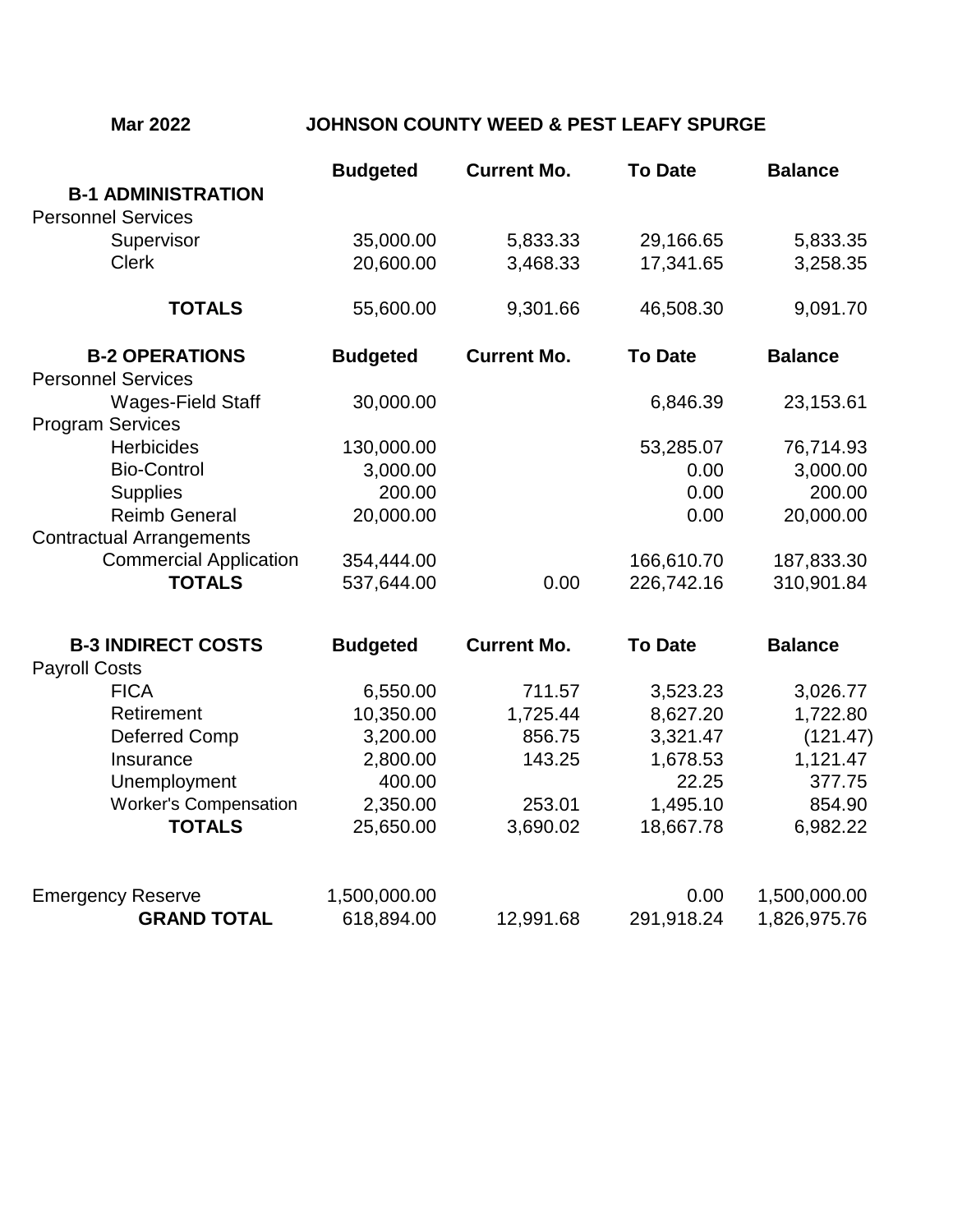## **Mar 2022 JOHNSON COUNTY WEED & PEST LEAFY SPURGE**

|                                 | <b>Budgeted</b> | <b>Current Mo.</b> | <b>To Date</b> | <b>Balance</b> |
|---------------------------------|-----------------|--------------------|----------------|----------------|
| <b>B-1 ADMINISTRATION</b>       |                 |                    |                |                |
| <b>Personnel Services</b>       |                 |                    |                |                |
| Supervisor                      | 35,000.00       | 5,833.33           | 29,166.65      | 5,833.35       |
| <b>Clerk</b>                    | 20,600.00       | 3,468.33           | 17,341.65      | 3,258.35       |
| <b>TOTALS</b>                   | 55,600.00       | 9,301.66           | 46,508.30      | 9,091.70       |
| <b>B-2 OPERATIONS</b>           | <b>Budgeted</b> | <b>Current Mo.</b> | <b>To Date</b> | <b>Balance</b> |
| <b>Personnel Services</b>       |                 |                    |                |                |
| Wages-Field Staff               | 30,000.00       |                    | 6,846.39       | 23,153.61      |
| <b>Program Services</b>         |                 |                    |                |                |
| <b>Herbicides</b>               | 130,000.00      |                    | 53,285.07      | 76,714.93      |
| <b>Bio-Control</b>              | 3,000.00        |                    | 0.00           | 3,000.00       |
| <b>Supplies</b>                 | 200.00          |                    | 0.00           | 200.00         |
| <b>Reimb General</b>            | 20,000.00       |                    | 0.00           | 20,000.00      |
| <b>Contractual Arrangements</b> |                 |                    |                |                |
| <b>Commercial Application</b>   | 354,444.00      |                    | 166,610.70     | 187,833.30     |
| <b>TOTALS</b>                   | 537,644.00      | 0.00               | 226,742.16     | 310,901.84     |

| <b>B-3 INDIRECT COSTS</b>           | <b>Budgeted</b> | <b>Current Mo.</b> | <b>To Date</b> | <b>Balance</b> |
|-------------------------------------|-----------------|--------------------|----------------|----------------|
| <b>Payroll Costs</b><br><b>FICA</b> | 6,550.00        | 711.57             | 3,523.23       | 3,026.77       |
|                                     |                 |                    |                |                |
| Deferred Comp                       | 3,200.00        | 856.75             | 3,321.47       | (121.47)       |
| Insurance                           | 2,800.00        | 143.25             | 1,678.53       | 1,121.47       |
| Unemployment                        | 400.00          |                    | 22.25          | 377.75         |
| <b>Worker's Compensation</b>        | 2,350.00        | 253.01             | 1,495.10       | 854.90         |
| <b>TOTALS</b>                       | 25,650.00       | 3,690.02           | 18,667.78      | 6,982.22       |
| <b>Emergency Reserve</b>            | 1,500,000.00    |                    | 0.00           | 1,500,000.00   |
| <b>GRAND TOTAL</b>                  | 618,894.00      | 12,991.68          | 291,918.24     | 1,826,975.76   |